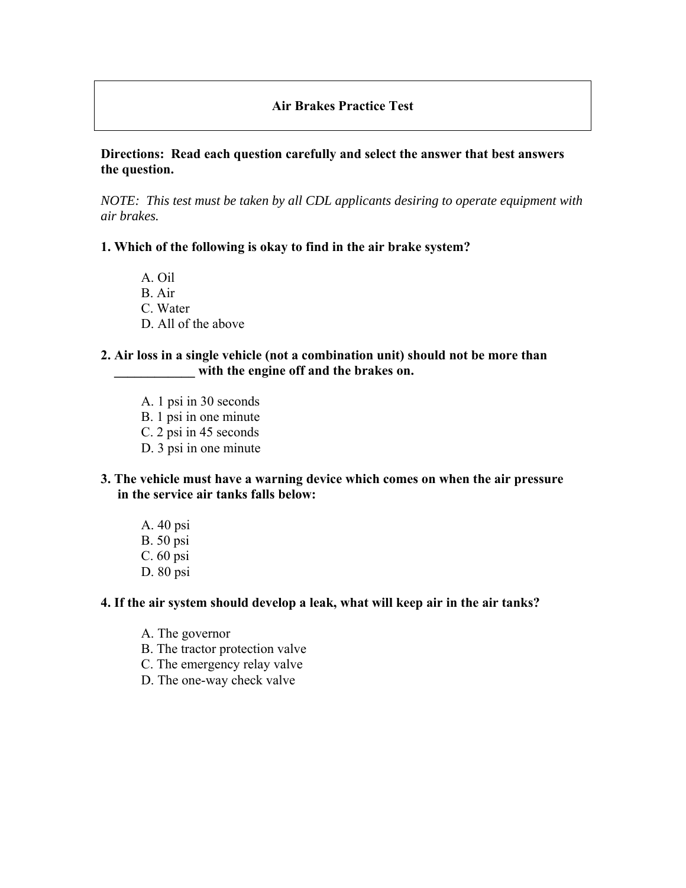# **Air Brakes Practice Test**

#### **Directions: Read each question carefully and select the answer that best answers the question.**

*NOTE: This test must be taken by all CDL applicants desiring to operate equipment with air brakes.* 

#### **1. Which of the following is okay to find in the air brake system?**

 A. Oil B. Air C. Water D. All of the above

#### **2. Air loss in a single vehicle (not a combination unit) should not be more than**  with the engine off and the brakes on.

- A. 1 psi in 30 seconds B. 1 psi in one minute C. 2 psi in 45 seconds
- D. 3 psi in one minute
- **3. The vehicle must have a warning device which comes on when the air pressure in the service air tanks falls below:** 
	- A. 40 psi B. 50 psi C. 60 psi D. 80 psi

#### **4. If the air system should develop a leak, what will keep air in the air tanks?**

- A. The governor
- B. The tractor protection valve
- C. The emergency relay valve
- D. The one-way check valve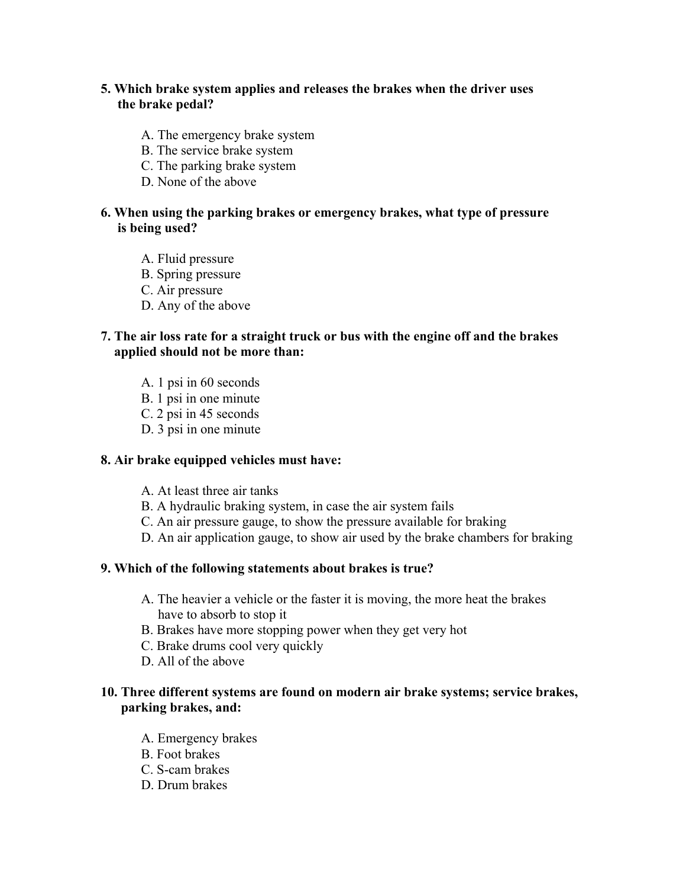# **5. Which brake system applies and releases the brakes when the driver uses the brake pedal?**

- A. The emergency brake system
- B. The service brake system
- C. The parking brake system
- D. None of the above

#### **6. When using the parking brakes or emergency brakes, what type of pressure is being used?**

- A. Fluid pressure
- B. Spring pressure
- C. Air pressure
- D. Any of the above

# **7. The air loss rate for a straight truck or bus with the engine off and the brakes applied should not be more than:**

- A. 1 psi in 60 seconds
- B. 1 psi in one minute
- C. 2 psi in 45 seconds
- D. 3 psi in one minute

#### **8. Air brake equipped vehicles must have:**

- A. At least three air tanks
- B. A hydraulic braking system, in case the air system fails
- C. An air pressure gauge, to show the pressure available for braking
- D. An air application gauge, to show air used by the brake chambers for braking

#### **9. Which of the following statements about brakes is true?**

- A. The heavier a vehicle or the faster it is moving, the more heat the brakes have to absorb to stop it
- B. Brakes have more stopping power when they get very hot
- C. Brake drums cool very quickly
- D. All of the above

# **10. Three different systems are found on modern air brake systems; service brakes, parking brakes, and:**

- A. Emergency brakes
- B. Foot brakes
- C. S-cam brakes
- D. Drum brakes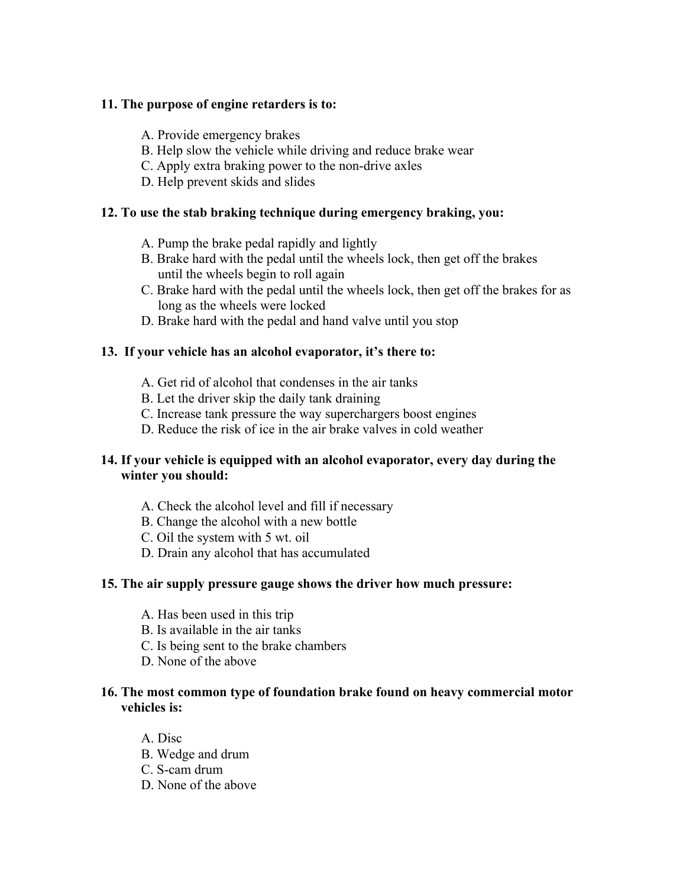# **11. The purpose of engine retarders is to:**

- A. Provide emergency brakes
- B. Help slow the vehicle while driving and reduce brake wear
- C. Apply extra braking power to the non-drive axles
- D. Help prevent skids and slides

# **12. To use the stab braking technique during emergency braking, you:**

- A. Pump the brake pedal rapidly and lightly
- B. Brake hard with the pedal until the wheels lock, then get off the brakes until the wheels begin to roll again
- C. Brake hard with the pedal until the wheels lock, then get off the brakes for as long as the wheels were locked
- D. Brake hard with the pedal and hand valve until you stop

# **13. If your vehicle has an alcohol evaporator, it's there to:**

- A. Get rid of alcohol that condenses in the air tanks
- B. Let the driver skip the daily tank draining
- C. Increase tank pressure the way superchargers boost engines
- D. Reduce the risk of ice in the air brake valves in cold weather

# **14. If your vehicle is equipped with an alcohol evaporator, every day during the winter you should:**

- A. Check the alcohol level and fill if necessary
- B. Change the alcohol with a new bottle
- C. Oil the system with 5 wt. oil
- D. Drain any alcohol that has accumulated

# **15. The air supply pressure gauge shows the driver how much pressure:**

- A. Has been used in this trip
- B. Is available in the air tanks
- C. Is being sent to the brake chambers
- D. None of the above

# **16. The most common type of foundation brake found on heavy commercial motor vehicles is:**

- A. Disc
- B. Wedge and drum
- C. S-cam drum
- D. None of the above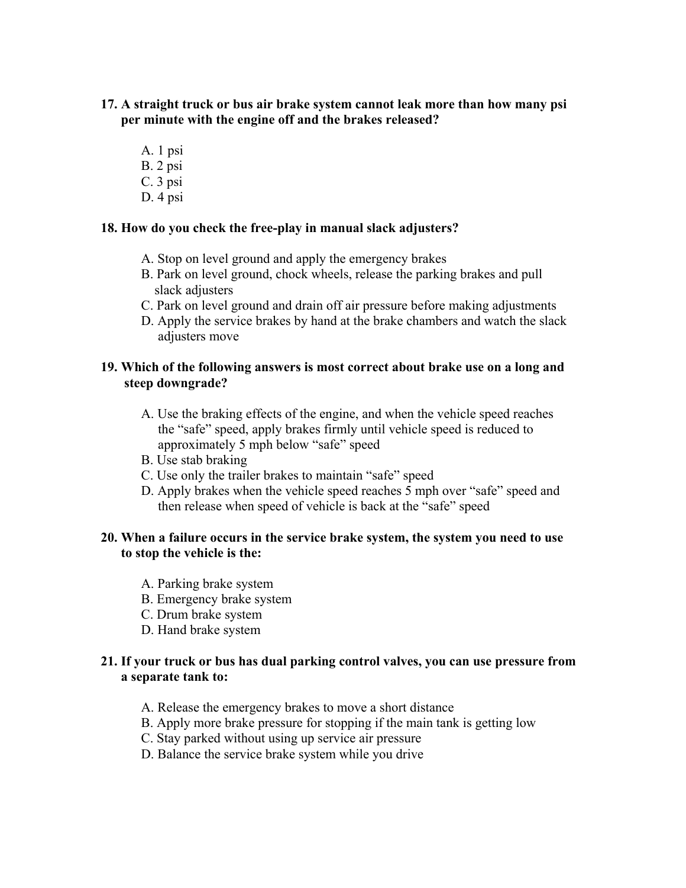- **17. A straight truck or bus air brake system cannot leak more than how many psi per minute with the engine off and the brakes released?** 
	- A. 1 psi
	- B. 2 psi
	- C. 3 psi
	- D. 4 psi

# **18. How do you check the free-play in manual slack adjusters?**

- A. Stop on level ground and apply the emergency brakes
- B. Park on level ground, chock wheels, release the parking brakes and pull slack adjusters
- C. Park on level ground and drain off air pressure before making adjustments
- D. Apply the service brakes by hand at the brake chambers and watch the slack adjusters move

# **19. Which of the following answers is most correct about brake use on a long and steep downgrade?**

- A. Use the braking effects of the engine, and when the vehicle speed reaches the "safe" speed, apply brakes firmly until vehicle speed is reduced to approximately 5 mph below "safe" speed
- B. Use stab braking
- C. Use only the trailer brakes to maintain "safe" speed
- D. Apply brakes when the vehicle speed reaches 5 mph over "safe" speed and then release when speed of vehicle is back at the "safe" speed

# **20. When a failure occurs in the service brake system, the system you need to use to stop the vehicle is the:**

- A. Parking brake system
- B. Emergency brake system
- C. Drum brake system
- D. Hand brake system

# **21. If your truck or bus has dual parking control valves, you can use pressure from a separate tank to:**

- A. Release the emergency brakes to move a short distance
- B. Apply more brake pressure for stopping if the main tank is getting low
- C. Stay parked without using up service air pressure
- D. Balance the service brake system while you drive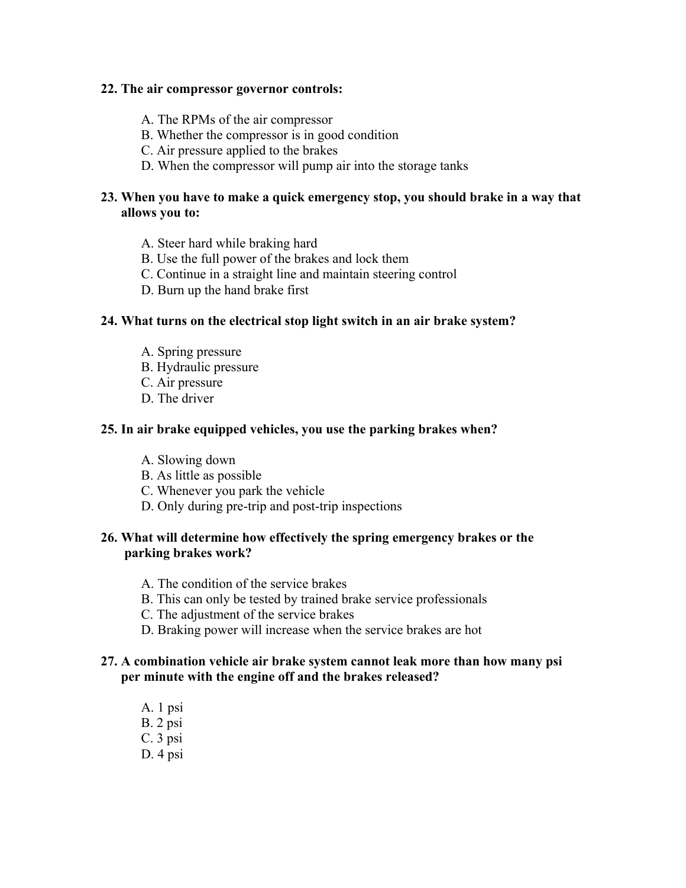#### **22. The air compressor governor controls:**

- A. The RPMs of the air compressor
- B. Whether the compressor is in good condition
- C. Air pressure applied to the brakes
- D. When the compressor will pump air into the storage tanks

## **23. When you have to make a quick emergency stop, you should brake in a way that allows you to:**

- A. Steer hard while braking hard
- B. Use the full power of the brakes and lock them
- C. Continue in a straight line and maintain steering control
- D. Burn up the hand brake first

# **24. What turns on the electrical stop light switch in an air brake system?**

- A. Spring pressure
- B. Hydraulic pressure
- C. Air pressure
- D. The driver

#### **25. In air brake equipped vehicles, you use the parking brakes when?**

- A. Slowing down
- B. As little as possible
- C. Whenever you park the vehicle
- D. Only during pre-trip and post-trip inspections

# **26. What will determine how effectively the spring emergency brakes or the parking brakes work?**

- A. The condition of the service brakes
- B. This can only be tested by trained brake service professionals
- C. The adjustment of the service brakes
- D. Braking power will increase when the service brakes are hot

#### **27. A combination vehicle air brake system cannot leak more than how many psi per minute with the engine off and the brakes released?**

 A. 1 psi B. 2 psi C. 3 psi D. 4 psi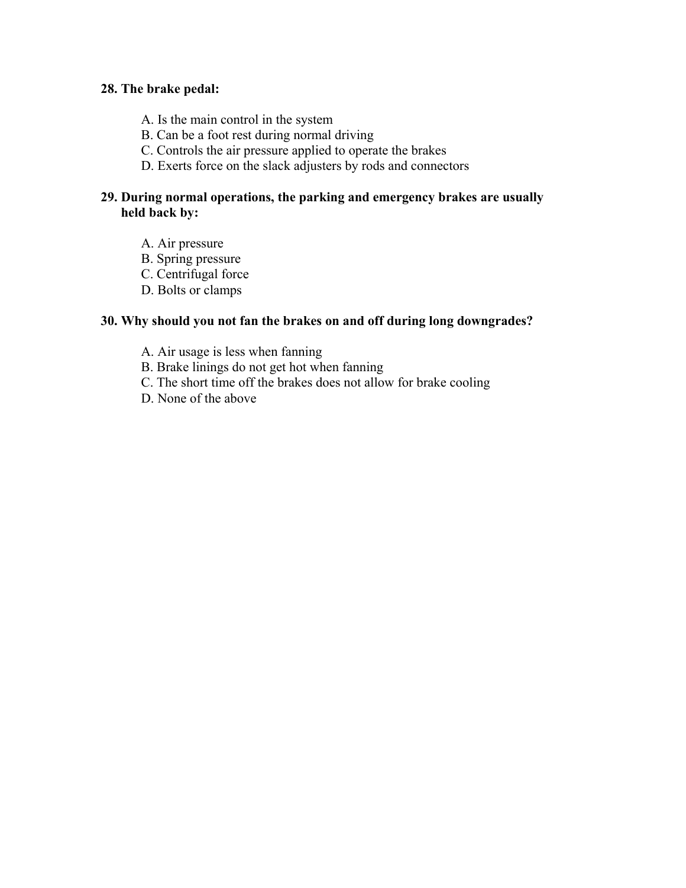### **28. The brake pedal:**

- A. Is the main control in the system
- B. Can be a foot rest during normal driving
- C. Controls the air pressure applied to operate the brakes
- D. Exerts force on the slack adjusters by rods and connectors

# **29. During normal operations, the parking and emergency brakes are usually held back by:**

- A. Air pressure
- B. Spring pressure
- C. Centrifugal force
- D. Bolts or clamps

# **30. Why should you not fan the brakes on and off during long downgrades?**

- A. Air usage is less when fanning
- B. Brake linings do not get hot when fanning
- C. The short time off the brakes does not allow for brake cooling
- D. None of the above